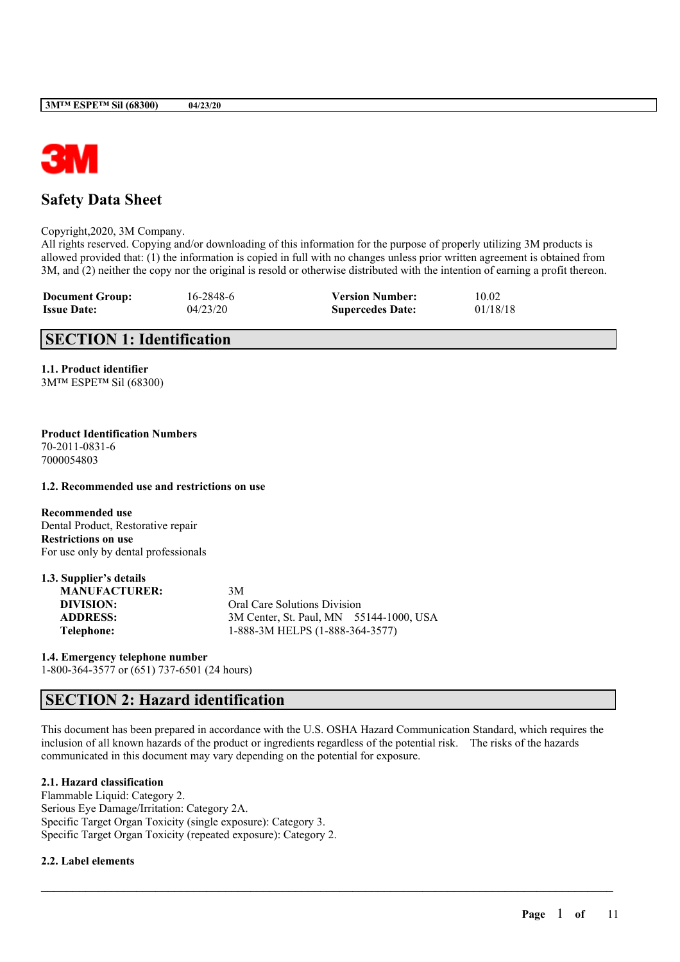

# **Safety Data Sheet**

Copyright,2020, 3M Company.

All rights reserved. Copying and/or downloading of this information for the purpose of properly utilizing 3M products is allowed provided that: (1) the information is copied in full with no changes unless prior written agreement is obtained from 3M, and (2) neither the copy nor the original is resold or otherwise distributed with the intention of earning a profit thereon.

| <b>Document Group:</b> | 16-2848-6 | <b>Version Number:</b>  | 10.02    |
|------------------------|-----------|-------------------------|----------|
| <b>Issue Date:</b>     | 04/23/20  | <b>Supercedes Date:</b> | 01/18/18 |

# **SECTION 1: Identification**

**1.1. Product identifier** 3M™ ESPE™ Sil (68300)

#### **Product Identification Numbers** 70-2011-0831-6 7000054803

**1.2. Recommended use and restrictions on use**

**Recommended use** Dental Product, Restorative repair **Restrictions on use** For use only by dental professionals

| 1.3. Supplier's details |                                         |  |
|-------------------------|-----------------------------------------|--|
| <b>MANUFACTURER:</b>    | 3M                                      |  |
| DIVISION:               | Oral Care Solutions Division            |  |
| <b>ADDRESS:</b>         | 3M Center, St. Paul, MN 55144-1000, USA |  |
| Telephone:              | 1-888-3M HELPS (1-888-364-3577)         |  |

**1.4. Emergency telephone number**

1-800-364-3577 or (651) 737-6501 (24 hours)

# **SECTION 2: Hazard identification**

This document has been prepared in accordance with the U.S. OSHA Hazard Communication Standard, which requires the inclusion of all known hazards of the product or ingredients regardless of the potential risk. The risks of the hazards communicated in this document may vary depending on the potential for exposure.

 $\mathcal{L}_\mathcal{L} = \mathcal{L}_\mathcal{L} = \mathcal{L}_\mathcal{L} = \mathcal{L}_\mathcal{L} = \mathcal{L}_\mathcal{L} = \mathcal{L}_\mathcal{L} = \mathcal{L}_\mathcal{L} = \mathcal{L}_\mathcal{L} = \mathcal{L}_\mathcal{L} = \mathcal{L}_\mathcal{L} = \mathcal{L}_\mathcal{L} = \mathcal{L}_\mathcal{L} = \mathcal{L}_\mathcal{L} = \mathcal{L}_\mathcal{L} = \mathcal{L}_\mathcal{L} = \mathcal{L}_\mathcal{L} = \mathcal{L}_\mathcal{L}$ 

# **2.1. Hazard classification**

Flammable Liquid: Category 2. Serious Eye Damage/Irritation: Category 2A. Specific Target Organ Toxicity (single exposure): Category 3. Specific Target Organ Toxicity (repeated exposure): Category 2.

## **2.2. Label elements**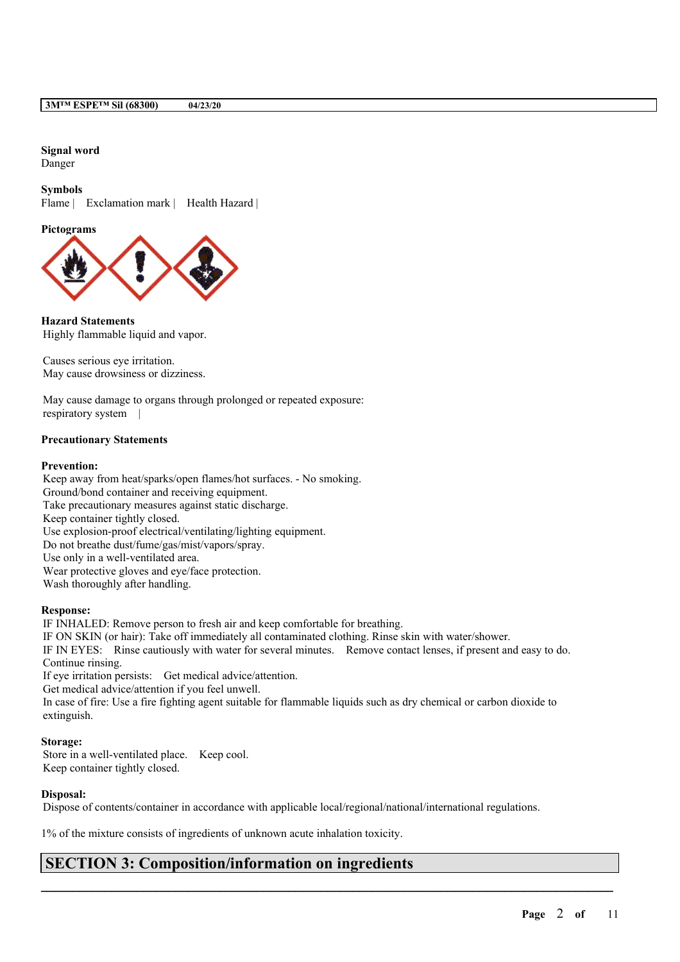# **Signal word**

Danger

**Symbols**

Flame | Exclamation mark | Health Hazard |

**Pictograms**



**Hazard Statements** Highly flammable liquid and vapor.

Causes serious eye irritation. May cause drowsiness or dizziness.

May cause damage to organs through prolonged or repeated exposure: respiratory system |

## **Precautionary Statements**

## **Prevention:**

Keep away from heat/sparks/open flames/hot surfaces. - No smoking. Ground/bond container and receiving equipment. Take precautionary measures against static discharge. Keep container tightly closed. Use explosion-proof electrical/ventilating/lighting equipment. Do not breathe dust/fume/gas/mist/vapors/spray. Use only in a well-ventilated area. Wear protective gloves and eye/face protection. Wash thoroughly after handling.

## **Response:**

IF INHALED: Remove person to fresh air and keep comfortable for breathing. IF ON SKIN (or hair): Take off immediately all contaminated clothing. Rinse skin with water/shower. IF IN EYES: Rinse cautiously with water for several minutes. Remove contact lenses, if present and easy to do. Continue rinsing. If eye irritation persists: Get medical advice/attention. Get medical advice/attention if you feel unwell. In case of fire: Use a fire fighting agent suitable for flammable liquids such as dry chemical or carbon dioxide to extinguish.

## **Storage:**

Store in a well-ventilated place. Keep cool. Keep container tightly closed.

## **Disposal:**

Dispose of contents/container in accordance with applicable local/regional/national/international regulations.

 $\mathcal{L}_\mathcal{L} = \mathcal{L}_\mathcal{L} = \mathcal{L}_\mathcal{L} = \mathcal{L}_\mathcal{L} = \mathcal{L}_\mathcal{L} = \mathcal{L}_\mathcal{L} = \mathcal{L}_\mathcal{L} = \mathcal{L}_\mathcal{L} = \mathcal{L}_\mathcal{L} = \mathcal{L}_\mathcal{L} = \mathcal{L}_\mathcal{L} = \mathcal{L}_\mathcal{L} = \mathcal{L}_\mathcal{L} = \mathcal{L}_\mathcal{L} = \mathcal{L}_\mathcal{L} = \mathcal{L}_\mathcal{L} = \mathcal{L}_\mathcal{L}$ 

1% of the mixture consists of ingredients of unknown acute inhalation toxicity.

# **SECTION 3: Composition/information on ingredients**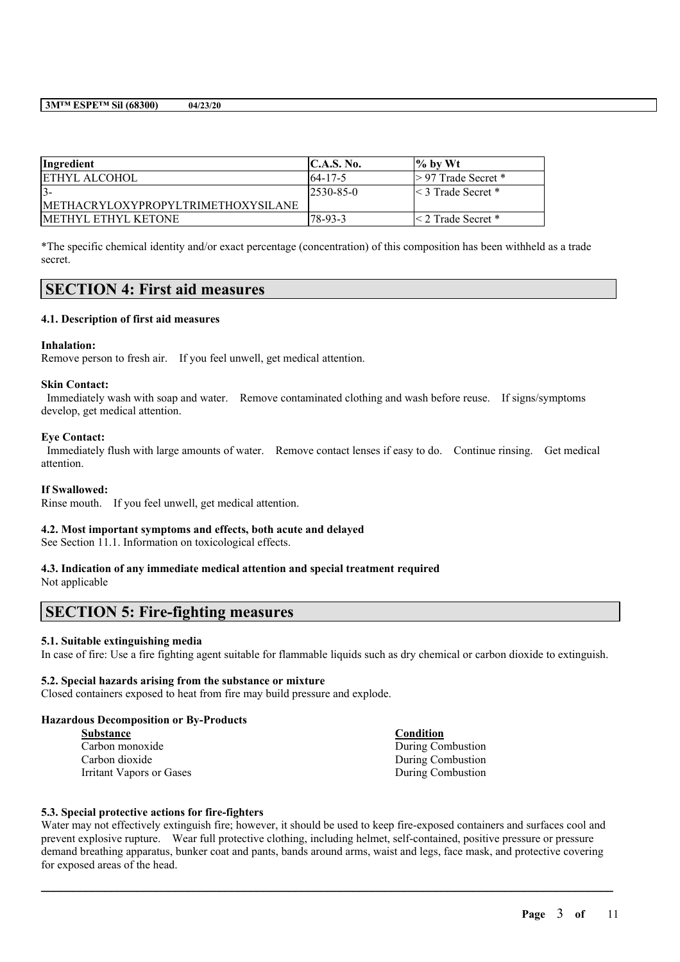| Ingredient                          | C.A.S. No.       | $\frac{1}{2}$ by Wt       |
|-------------------------------------|------------------|---------------------------|
| <b>ETHYL ALCOHOL</b>                | $164 - 17 - 5$   | $> 97$ Trade Secret *     |
| $3 -$                               | $ 2530 - 85 - 0$ | $\leq$ 3 Trade Secret *   |
| IMETHACRYLOXYPROPYLTRIMETHOXYSILANE |                  |                           |
| <b>IMETHYL ETHYL KETONE</b>         | $78-93-3$        | $\leq$ 2 Trade Secret $*$ |

\*The specific chemical identity and/or exact percentage (concentration) of this composition has been withheld as a trade secret.

# **SECTION 4: First aid measures**

## **4.1. Description of first aid measures**

#### **Inhalation:**

Remove person to fresh air. If you feel unwell, get medical attention.

#### **Skin Contact:**

Immediately wash with soap and water. Remove contaminated clothing and wash before reuse. If signs/symptoms develop, get medical attention.

### **Eye Contact:**

Immediately flush with large amounts of water. Remove contact lenses if easy to do. Continue rinsing. Get medical attention.

#### **If Swallowed:**

Rinse mouth. If you feel unwell, get medical attention.

## **4.2. Most important symptoms and effects, both acute and delayed**

See Section 11.1. Information on toxicological effects.

### **4.3. Indication of any immediate medical attention and special treatment required** Not applicable

# **SECTION 5: Fire-fighting measures**

#### **5.1. Suitable extinguishing media**

In case of fire: Use a fire fighting agent suitable for flammable liquids such as dry chemical or carbon dioxide to extinguish.

### **5.2. Special hazards arising from the substance or mixture**

Closed containers exposed to heat from fire may build pressure and explode.

### **Hazardous Decomposition or By-Products**

| <b>Substance</b>         | <b>Condition</b>  |
|--------------------------|-------------------|
| Carbon monoxide          | During Combustion |
| Carbon dioxide           | During Combustion |
| Irritant Vapors or Gases | During Combustion |

#### **5.3. Special protective actions for fire-fighters**

Water may not effectively extinguish fire; however, it should be used to keep fire-exposed containers and surfaces cool and prevent explosive rupture. Wear full protective clothing, including helmet, self-contained, positive pressure or pressure demand breathing apparatus, bunker coat and pants, bands around arms, waist and legs, face mask, and protective covering for exposed areas of the head.

 $\mathcal{L}_\mathcal{L} = \mathcal{L}_\mathcal{L} = \mathcal{L}_\mathcal{L} = \mathcal{L}_\mathcal{L} = \mathcal{L}_\mathcal{L} = \mathcal{L}_\mathcal{L} = \mathcal{L}_\mathcal{L} = \mathcal{L}_\mathcal{L} = \mathcal{L}_\mathcal{L} = \mathcal{L}_\mathcal{L} = \mathcal{L}_\mathcal{L} = \mathcal{L}_\mathcal{L} = \mathcal{L}_\mathcal{L} = \mathcal{L}_\mathcal{L} = \mathcal{L}_\mathcal{L} = \mathcal{L}_\mathcal{L} = \mathcal{L}_\mathcal{L}$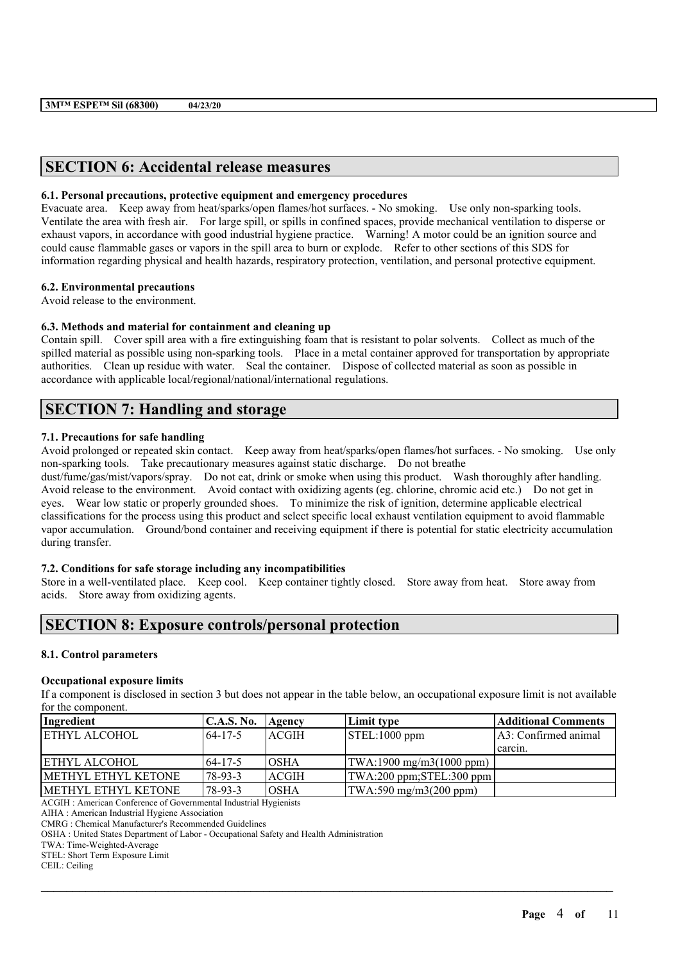# **SECTION 6: Accidental release measures**

### **6.1. Personal precautions, protective equipment and emergency procedures**

Evacuate area. Keep away from heat/sparks/open flames/hot surfaces. - No smoking. Use only non-sparking tools. Ventilate the area with fresh air. For large spill, or spills in confined spaces, provide mechanical ventilation to disperse or exhaust vapors, in accordance with good industrial hygiene practice. Warning! A motor could be an ignition source and could cause flammable gases or vapors in the spill area to burn or explode. Refer to other sections of this SDS for information regarding physical and health hazards, respiratory protection, ventilation, and personal protective equipment.

## **6.2. Environmental precautions**

Avoid release to the environment.

### **6.3. Methods and material for containment and cleaning up**

Contain spill. Cover spill area with a fire extinguishing foam that is resistant to polar solvents. Collect as much of the spilled material as possible using non-sparking tools. Place in a metal container approved for transportation by appropriate authorities. Clean up residue with water. Seal the container. Dispose of collected material as soon as possible in accordance with applicable local/regional/national/international regulations.

# **SECTION 7: Handling and storage**

### **7.1. Precautions for safe handling**

Avoid prolonged or repeated skin contact. Keep away from heat/sparks/open flames/hot surfaces. - No smoking. Use only non-sparking tools. Take precautionary measures against static discharge. Do not breathe

dust/fume/gas/mist/vapors/spray. Do not eat, drink or smoke when using this product. Wash thoroughly after handling. Avoid release to the environment. Avoid contact with oxidizing agents (eg. chlorine, chromic acid etc.) Do not get in eyes. Wear low static or properly grounded shoes. To minimize the risk of ignition, determine applicable electrical classifications for the process using this product and select specific local exhaust ventilation equipment to avoid flammable vapor accumulation. Ground/bond container and receiving equipment if there is potential for static electricity accumulation during transfer.

### **7.2. Conditions for safe storage including any incompatibilities**

Store in a well-ventilated place. Keep cool. Keep container tightly closed. Store away from heat. Store away from acids. Store away from oxidizing agents.

# **SECTION 8: Exposure controls/personal protection**

## **8.1. Control parameters**

#### **Occupational exposure limits**

If a component is disclosed in section 3 but does not appear in the table below, an occupational exposure limit is not available for the component.

| Ingredient           | C.A.S. No.     | Agency       | Limit type                                      | <b>Additional Comments</b> |
|----------------------|----------------|--------------|-------------------------------------------------|----------------------------|
| <b>ETHYL ALCOHOL</b> | $164 - 17 - 5$ | ACGIH        | STEL:1000 ppm                                   | A3: Confirmed animal       |
|                      |                |              |                                                 | carcin.                    |
| <b>ETHYL ALCOHOL</b> | 64-17-5        | IOSHA        | $\text{TWA:1900 mg/m3(1000 ppm)}$               |                            |
| METHYL ETHYL KETONE  | 78-93-3        | <b>ACGIH</b> | $ TWA:200$ ppm; $STEL:300$ ppm                  |                            |
| IMETHYL ETHYL KETONE | 78-93-3        | IOSHA        | $\text{TWA}:590 \text{ mg/m}3(200 \text{ ppm})$ |                            |

 $\mathcal{L}_\mathcal{L} = \mathcal{L}_\mathcal{L} = \mathcal{L}_\mathcal{L} = \mathcal{L}_\mathcal{L} = \mathcal{L}_\mathcal{L} = \mathcal{L}_\mathcal{L} = \mathcal{L}_\mathcal{L} = \mathcal{L}_\mathcal{L} = \mathcal{L}_\mathcal{L} = \mathcal{L}_\mathcal{L} = \mathcal{L}_\mathcal{L} = \mathcal{L}_\mathcal{L} = \mathcal{L}_\mathcal{L} = \mathcal{L}_\mathcal{L} = \mathcal{L}_\mathcal{L} = \mathcal{L}_\mathcal{L} = \mathcal{L}_\mathcal{L}$ 

ACGIH : American Conference of Governmental Industrial Hygienists

AIHA : American Industrial Hygiene Association

CMRG : Chemical Manufacturer's Recommended Guidelines

OSHA : United States Department of Labor - Occupational Safety and Health Administration

TWA: Time-Weighted-Average

STEL: Short Term Exposure Limit

CEIL: Ceiling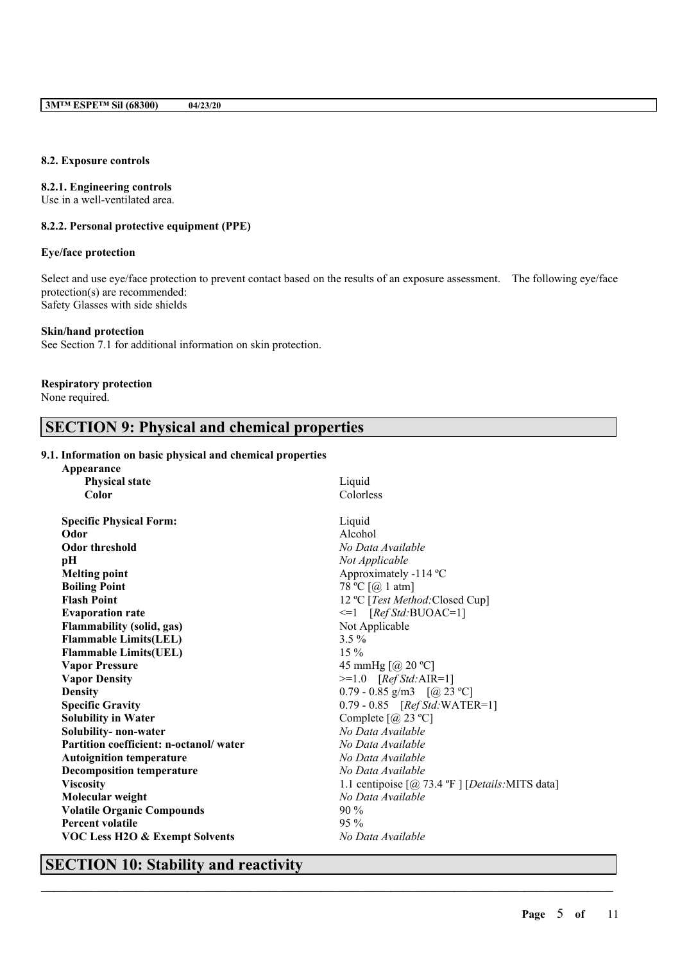### **8.2. Exposure controls**

## **8.2.1. Engineering controls**

Use in a well-ventilated area.

# **8.2.2. Personal protective equipment (PPE)**

### **Eye/face protection**

Select and use eye/face protection to prevent contact based on the results of an exposure assessment. The following eye/face protection(s) are recommended: Safety Glasses with side shields

#### **Skin/hand protection**

See Section 7.1 for additional information on skin protection.

# **Respiratory protection**

None required.

# **SECTION 9: Physical and chemical properties**

## **9.1. Information on basic physical and chemical properties**

| Appearance                                |                                                                             |
|-------------------------------------------|-----------------------------------------------------------------------------|
| <b>Physical state</b>                     | Liquid                                                                      |
| Color                                     | Colorless                                                                   |
| <b>Specific Physical Form:</b>            | Liquid                                                                      |
| Odor                                      | Alcohol                                                                     |
| <b>Odor threshold</b>                     | No Data Available                                                           |
| рH                                        | Not Applicable                                                              |
| <b>Melting point</b>                      | Approximately -114 °C                                                       |
| <b>Boiling Point</b>                      | 78 °C $\lceil$ ( <i>a</i> ) 1 atm]                                          |
| <b>Flash Point</b>                        | 12 °C [Test Method: Closed Cup]                                             |
| <b>Evaporation rate</b>                   | $\leq 1$ [Ref Std:BUOAC=1]                                                  |
| <b>Flammability (solid, gas)</b>          | Not Applicable                                                              |
| <b>Flammable Limits(LEL)</b>              | $3.5\%$                                                                     |
| <b>Flammable Limits(UEL)</b>              | $15\%$                                                                      |
| <b>Vapor Pressure</b>                     | 45 mmHg $[@]$ 20 °C]                                                        |
| <b>Vapor Density</b>                      | $>=1.0$ [Ref Std:AIR=1]                                                     |
| <b>Density</b>                            | 0.79 - 0.85 g/m3 $[@23 °C]$                                                 |
| <b>Specific Gravity</b>                   | $0.79 - 0.85$ [Ref Std: WATER=1]                                            |
| <b>Solubility in Water</b>                | Complete $[@]$ 23 °C]                                                       |
| Solubility- non-water                     | No Data Available                                                           |
| Partition coefficient: n-octanol/water    | No Data Available                                                           |
| <b>Autoignition temperature</b>           | No Data Available                                                           |
| <b>Decomposition temperature</b>          | No Data Available                                                           |
| <b>Viscosity</b>                          | 1.1 centipoise $\lceil \omega \rceil$ 73.4 °F $\lceil$ [Details: MITS data] |
| Molecular weight                          | No Data Available                                                           |
| <b>Volatile Organic Compounds</b>         | $90\%$                                                                      |
| <b>Percent volatile</b>                   | $95\%$                                                                      |
| <b>VOC Less H2O &amp; Exempt Solvents</b> | No Data Available                                                           |

 $\mathcal{L}_\mathcal{L} = \mathcal{L}_\mathcal{L} = \mathcal{L}_\mathcal{L} = \mathcal{L}_\mathcal{L} = \mathcal{L}_\mathcal{L} = \mathcal{L}_\mathcal{L} = \mathcal{L}_\mathcal{L} = \mathcal{L}_\mathcal{L} = \mathcal{L}_\mathcal{L} = \mathcal{L}_\mathcal{L} = \mathcal{L}_\mathcal{L} = \mathcal{L}_\mathcal{L} = \mathcal{L}_\mathcal{L} = \mathcal{L}_\mathcal{L} = \mathcal{L}_\mathcal{L} = \mathcal{L}_\mathcal{L} = \mathcal{L}_\mathcal{L}$ 

# **SECTION 10: Stability and reactivity**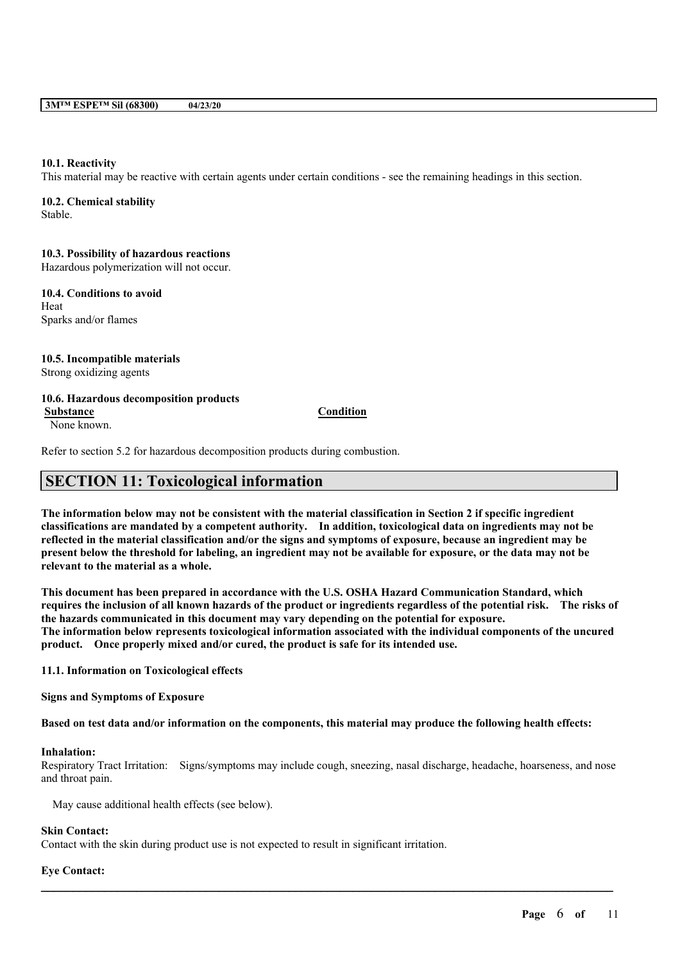### **10.1. Reactivity**

This material may be reactive with certain agents under certain conditions - see the remaining headings in this section.

## **10.2. Chemical stability**

Stable.

#### **10.3. Possibility of hazardous reactions**

Hazardous polymerization will not occur.

**10.4. Conditions to avoid** Heat Sparks and/or flames

# **10.5. Incompatible materials**

Strong oxidizing agents

## **10.6. Hazardous decomposition products**

None known.

### **Substance Condition**

Refer to section 5.2 for hazardous decomposition products during combustion.

# **SECTION 11: Toxicological information**

The information below may not be consistent with the material classification in Section 2 if specific ingredient **classifications are mandated by a competent authority. In addition, toxicological data on ingredients may not be** reflected in the material classification and/or the signs and symptoms of exposure, because an ingredient may be present below the threshold for labeling, an ingredient may not be available for exposure, or the data may not be **relevant to the material as a whole.**

**This document has been prepared in accordance with the U.S. OSHA Hazard Communication Standard, which** requires the inclusion of all known hazards of the product or ingredients regardless of the potential risk. The risks of **the hazards communicated in this document may vary depending on the potential for exposure. The information below represents toxicological information associated with the individual components of the uncured product. Once properly mixed and/or cured, the product is safe for its intended use.**

**11.1. Information on Toxicological effects**

**Signs and Symptoms of Exposure**

Based on test data and/or information on the components, this material may produce the following health effects:

#### **Inhalation:**

Respiratory Tract Irritation: Signs/symptoms may include cough, sneezing, nasal discharge, headache, hoarseness, and nose and throat pain.

 $\mathcal{L}_\mathcal{L} = \mathcal{L}_\mathcal{L} = \mathcal{L}_\mathcal{L} = \mathcal{L}_\mathcal{L} = \mathcal{L}_\mathcal{L} = \mathcal{L}_\mathcal{L} = \mathcal{L}_\mathcal{L} = \mathcal{L}_\mathcal{L} = \mathcal{L}_\mathcal{L} = \mathcal{L}_\mathcal{L} = \mathcal{L}_\mathcal{L} = \mathcal{L}_\mathcal{L} = \mathcal{L}_\mathcal{L} = \mathcal{L}_\mathcal{L} = \mathcal{L}_\mathcal{L} = \mathcal{L}_\mathcal{L} = \mathcal{L}_\mathcal{L}$ 

May cause additional health effects (see below).

# **Skin Contact:**

Contact with the skin during product use is not expected to result in significant irritation.

## **Eye Contact:**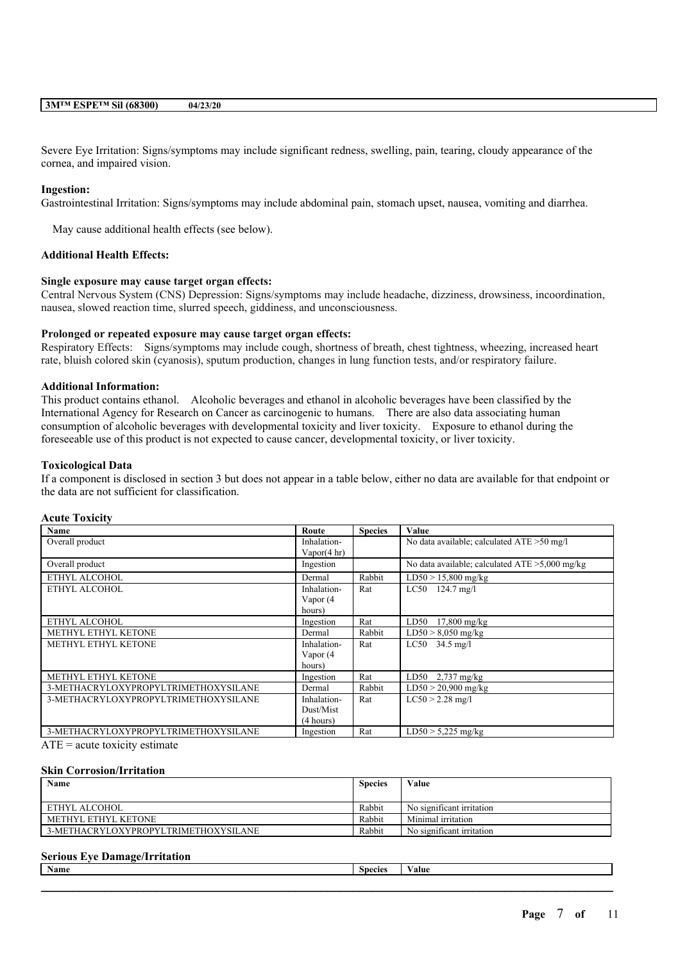Severe Eye Irritation: Signs/symptoms may include significant redness, swelling, pain, tearing, cloudy appearance of the cornea, and impaired vision.

#### **Ingestion:**

Gastrointestinal Irritation: Signs/symptoms may include abdominal pain, stomach upset, nausea, vomiting and diarrhea.

May cause additional health effects (see below).

## **Additional Health Effects:**

#### **Single exposure may cause target organ effects:**

Central Nervous System (CNS) Depression: Signs/symptoms may include headache, dizziness, drowsiness, incoordination, nausea, slowed reaction time, slurred speech, giddiness, and unconsciousness.

## **Prolonged or repeated exposure may cause target organ effects:**

Respiratory Effects: Signs/symptoms may include cough, shortness of breath, chest tightness, wheezing, increased heart rate, bluish colored skin (cyanosis), sputum production, changes in lung function tests, and/or respiratory failure.

#### **Additional Information:**

This product contains ethanol. Alcoholic beverages and ethanol in alcoholic beverages have been classified by the International Agency for Research on Cancer as carcinogenic to humans. There are also data associating human consumption of alcoholic beverages with developmental toxicity and liver toxicity. Exposure to ethanol during the foreseeable use of this product is not expected to cause cancer, developmental toxicity, or liver toxicity.

#### **Toxicological Data**

If a component is disclosed in section 3 but does not appear in a table below, either no data are available for that endpoint or the data are not sufficient for classification.

| <b>Acute Toxicity</b> |
|-----------------------|
|                       |

| Name                                 | Route                  | <b>Species</b> | Value                                             |
|--------------------------------------|------------------------|----------------|---------------------------------------------------|
| Overall product                      | Inhalation-            |                | No data available; calculated ATE > 50 mg/l       |
|                                      | Vapor $(4 \text{ hr})$ |                |                                                   |
| Overall product                      | Ingestion              |                | No data available; calculated $ATE > 5,000$ mg/kg |
| ETHYL ALCOHOL                        | Dermal                 | Rabbit         | $LD50 > 15,800$ mg/kg                             |
| ETHYL ALCOHOL                        | Inhalation-            | Rat            | $LC50$ 124.7 mg/l                                 |
|                                      | Vapor (4               |                |                                                   |
|                                      | hours)                 |                |                                                   |
| ETHYL ALCOHOL                        | Ingestion              | Rat            | LD50<br>$17,800$ mg/kg                            |
| METHYL ETHYL KETONE                  | Dermal                 | Rabbit         | $LD50 > 8,050$ mg/kg                              |
| METHYL ETHYL KETONE                  | Inhalation-            | Rat            | $_{\rm LC50}$<br>$34.5 \text{ mg}/1$              |
|                                      | Vapor (4               |                |                                                   |
|                                      | hours)                 |                |                                                   |
| METHYL ETHYL KETONE                  | Ingestion              | Rat            | LD50 $2,737$ mg/kg                                |
| 3-METHACRYLOXYPROPYLTRIMETHOXYSILANE | Dermal                 | Rabbit         | $LD50 > 20,900$ mg/kg                             |
| 3-METHACRYLOXYPROPYLTRIMETHOXYSILANE | Inhalation-            | Rat            | $LC50 > 2.28$ mg/l                                |
|                                      | Dust/Mist              |                |                                                   |
|                                      | (4 hours)              |                |                                                   |
| 3-METHACRYLOXYPROPYLTRIMETHOXYSILANE | Ingestion              | Rat            | $LD50 > 5,225$ mg/kg                              |

 $ATE = acute$  toxicity estimate

#### **Skin Corrosion/Irritation**

| Name                                 | <b>Species</b> | Value                     |
|--------------------------------------|----------------|---------------------------|
|                                      |                |                           |
| ETHYL ALCOHOL                        | Rabbit         | No significant irritation |
| METHYL ETHYL KETONE                  | Rabbit         | Minimal irritation        |
| 3-METHACRYLOXYPROPYLTRIMETHOXYSILANE | Rabbit         | No significant irritation |

### **Serious Eye Damage/Irritation**

| - 11<br>Name | . noojas | 'alu |
|--------------|----------|------|
|              |          |      |
|              |          |      |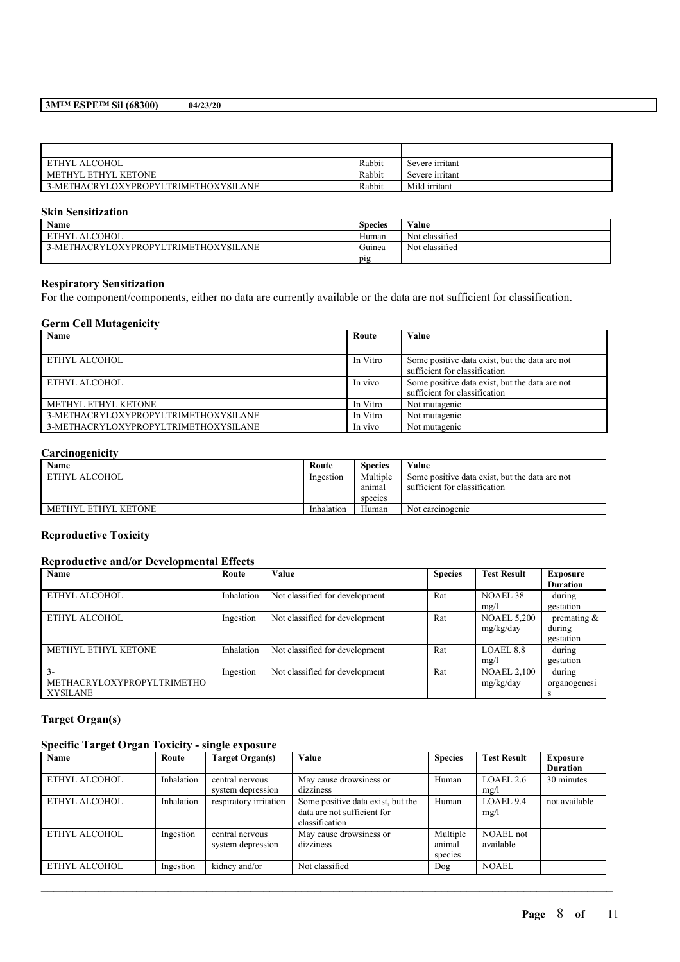| ETHYL ALCOHOL                              | Rabbit | Severe irritant |
|--------------------------------------------|--------|-----------------|
| METHYL ETHYL KETONE                        | Rabbit | Severe irritant |
| 3-METHACRYLOXYPROPYLTRIMETHOXYSIL.<br>.ANE | Rabbit | Mild irritant   |

### **Skin Sensitization**

| Name                                 | <b>Species</b> | Value          |
|--------------------------------------|----------------|----------------|
| <b>ALCOHOL</b><br><b>ETHYL</b>       | Human          | Not classified |
| 3-METHACRYLOXYPROPYLTRIMETHOXYSILANE | Guinea         | Not classified |
|                                      | pig            |                |

# **Respiratory Sensitization**

For the component/components, either no data are currently available or the data are not sufficient for classification.

### **Germ Cell Mutagenicity**

| Name                                 | Route    | Value                                                                           |
|--------------------------------------|----------|---------------------------------------------------------------------------------|
|                                      |          |                                                                                 |
| ETHYL ALCOHOL                        | In Vitro | Some positive data exist, but the data are not<br>sufficient for classification |
| ETHYL ALCOHOL                        | In vivo  | Some positive data exist, but the data are not<br>sufficient for classification |
| METHYL ETHYL KETONE                  | In Vitro | Not mutagenic                                                                   |
| 3-METHACRYLOXYPROPYLTRIMETHOXYSILANE | In Vitro | Not mutagenic                                                                   |
| 3-METHACRYLOXYPROPYLTRIMETHOXYSILANE | In vivo  | Not mutagenic                                                                   |

### **Carcinogenicity**

| Name                | Route      | <b>Species</b>                | Value                                                                           |
|---------------------|------------|-------------------------------|---------------------------------------------------------------------------------|
| ETHYL ALCOHOL       | Ingestion  | Multiple<br>anımal<br>species | Some positive data exist, but the data are not<br>sufficient for classification |
| METHYL ETHYL KETONE | Inhalation | Human                         | Not carcinogenic                                                                |

### **Reproductive Toxicity**

# **Reproductive and/or Developmental Effects**

| Name                       | Route      | Value                          | <b>Species</b> | <b>Test Result</b> | Exposure        |
|----------------------------|------------|--------------------------------|----------------|--------------------|-----------------|
|                            |            |                                |                |                    | <b>Duration</b> |
| ETHYL ALCOHOL              | Inhalation | Not classified for development | Rat            | NOAEL 38           | during          |
|                            |            |                                |                | mg/l               | gestation       |
| ETHYL ALCOHOL              | Ingestion  | Not classified for development | Rat            | <b>NOAEL 5,200</b> | premating $\&$  |
|                            |            |                                |                | mg/kg/day          | during          |
|                            |            |                                |                |                    | gestation       |
| METHYL ETHYL KETONE        | Inhalation | Not classified for development | Rat            | LOAEL 8.8          | during          |
|                            |            |                                |                | mg/l               | gestation       |
| $3 -$                      | Ingestion  | Not classified for development | Rat            | <b>NOAEL 2,100</b> | during          |
| METHACRYLOXYPROPYLTRIMETHO |            |                                |                | mg/kg/day          | organogenesi    |
| <b>XYSILANE</b>            |            |                                |                |                    |                 |

# **Target Organ(s)**

# **Specific Target Organ Toxicity - single exposure**

| Name          | Route      | Target Organ(s)                      | Value                                                                              | <b>Species</b>                | <b>Test Result</b>     | <b>Exposure</b><br><b>Duration</b> |
|---------------|------------|--------------------------------------|------------------------------------------------------------------------------------|-------------------------------|------------------------|------------------------------------|
| ETHYL ALCOHOL | Inhalation | central nervous<br>system depression | May cause drowsiness or<br>dizziness                                               | Human                         | LOAEL 2.6<br>mg/l      | 30 minutes                         |
| ETHYL ALCOHOL | Inhalation | respiratory irritation               | Some positive data exist, but the<br>data are not sufficient for<br>classification | Human                         | LOAEL 9.4<br>mg/l      | not available                      |
| ETHYL ALCOHOL | Ingestion  | central nervous<br>system depression | May cause drowsiness or<br>dizziness                                               | Multiple<br>animal<br>species | NOAEL not<br>available |                                    |
| ETHYL ALCOHOL | Ingestion  | kidney and/or                        | Not classified                                                                     | Dog                           | <b>NOAEL</b>           |                                    |

 $\mathcal{L}_\mathcal{L} = \mathcal{L}_\mathcal{L} = \mathcal{L}_\mathcal{L} = \mathcal{L}_\mathcal{L} = \mathcal{L}_\mathcal{L} = \mathcal{L}_\mathcal{L} = \mathcal{L}_\mathcal{L} = \mathcal{L}_\mathcal{L} = \mathcal{L}_\mathcal{L} = \mathcal{L}_\mathcal{L} = \mathcal{L}_\mathcal{L} = \mathcal{L}_\mathcal{L} = \mathcal{L}_\mathcal{L} = \mathcal{L}_\mathcal{L} = \mathcal{L}_\mathcal{L} = \mathcal{L}_\mathcal{L} = \mathcal{L}_\mathcal{L}$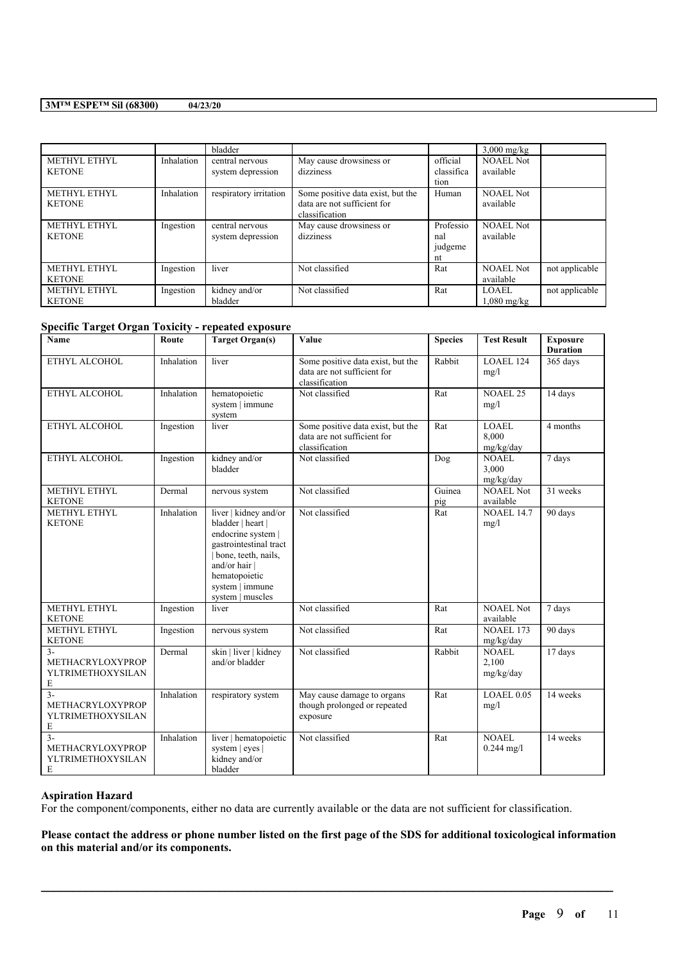|               |            | bladder                |                                   |            | $3,000$ mg/kg    |                |
|---------------|------------|------------------------|-----------------------------------|------------|------------------|----------------|
| METHYL ETHYL  | Inhalation | central nervous        | May cause drowsiness or           | official   | <b>NOAEL Not</b> |                |
| <b>KETONE</b> |            | system depression      | dizziness                         | classifica | available        |                |
|               |            |                        |                                   | tion       |                  |                |
| METHYL ETHYL  | Inhalation | respiratory irritation | Some positive data exist, but the | Human      | <b>NOAEL Not</b> |                |
| <b>KETONE</b> |            |                        | data are not sufficient for       |            | available        |                |
|               |            |                        | classification                    |            |                  |                |
| METHYL ETHYL  | Ingestion  | central nervous        | May cause drowsiness or           | Professio  | <b>NOAEL Not</b> |                |
| <b>KETONE</b> |            | system depression      | dizziness                         | nal        | available        |                |
|               |            |                        |                                   | judgeme    |                  |                |
|               |            |                        |                                   | nt         |                  |                |
| METHYL ETHYL  | Ingestion  | liver                  | Not classified                    | Rat        | <b>NOAEL Not</b> | not applicable |
| <b>KETONE</b> |            |                        |                                   |            | available        |                |
| METHYL ETHYL  | Ingestion  | kidney and/or          | Not classified                    | Rat        | <b>LOAEL</b>     | not applicable |
| <b>KETONE</b> |            | bladder                |                                   |            | $1,080$ mg/kg    |                |

### **Specific Target Organ Toxicity - repeated exposure**

| Name                                                        | Route      | <b>Target Organ(s)</b>                                                                                                                                                                     | Value                                                                              | <b>Species</b> | <b>Test Result</b>                 | <b>Exposure</b><br><b>Duration</b> |
|-------------------------------------------------------------|------------|--------------------------------------------------------------------------------------------------------------------------------------------------------------------------------------------|------------------------------------------------------------------------------------|----------------|------------------------------------|------------------------------------|
| ETHYL ALCOHOL                                               | Inhalation | liver                                                                                                                                                                                      | Some positive data exist, but the<br>data are not sufficient for<br>classification | Rabbit         | <b>LOAEL 124</b><br>mg/l           | 365 days                           |
| ETHYL ALCOHOL                                               | Inhalation | hematopoietic<br>system   immune<br>system                                                                                                                                                 | Not classified                                                                     | Rat            | <b>NOAEL 25</b><br>mg/l            | 14 days                            |
| ETHYL ALCOHOL                                               | Ingestion  | liver                                                                                                                                                                                      | Some positive data exist, but the<br>data are not sufficient for<br>classification | Rat            | <b>LOAEL</b><br>8.000<br>mg/kg/day | 4 months                           |
| ETHYL ALCOHOL                                               | Ingestion  | kidney and/or<br>bladder                                                                                                                                                                   | Not classified                                                                     | Dog            | <b>NOAEL</b><br>3,000<br>mg/kg/day | 7 days                             |
| METHYL ETHYL<br><b>KETONE</b>                               | Dermal     | nervous system                                                                                                                                                                             | Not classified                                                                     | Guinea<br>pig  | <b>NOAEL Not</b><br>available      | 31 weeks                           |
| METHYL ETHYL<br><b>KETONE</b>                               | Inhalation | liver   kidney and/or<br>bladder   heart  <br>endocrine system  <br>gastrointestinal tract<br>bone, teeth, nails,<br>and/or hair  <br>hematopoietic<br>system   immune<br>system   muscles | Not classified                                                                     | Rat            | <b>NOAEL 14.7</b><br>mg/l          | 90 days                            |
| METHYL ETHYL<br><b>KETONE</b>                               | Ingestion  | liver                                                                                                                                                                                      | Not classified                                                                     | Rat            | NOAEL Not<br>available             | 7 days                             |
| METHYL ETHYL<br><b>KETONE</b>                               | Ingestion  | nervous system                                                                                                                                                                             | Not classified                                                                     | Rat            | <b>NOAEL 173</b><br>mg/kg/day      | 90 days                            |
| $3 -$<br>METHACRYLOXYPROP<br>YLTRIMETHOXYSILAN<br>Е         | Dermal     | skin   liver   kidney<br>and/or bladder                                                                                                                                                    | Not classified                                                                     | Rabbit         | <b>NOAEL</b><br>2,100<br>mg/kg/day | 17 days                            |
| $3 -$<br>METHACRYLOXYPROP<br>YLTRIMETHOXYSILAN<br>E         | Inhalation | respiratory system                                                                                                                                                                         | May cause damage to organs<br>though prolonged or repeated<br>exposure             | Rat            | LOAEL 0.05<br>mg/l                 | 14 weeks                           |
| $\mathcal{F}$<br>METHACRYLOXYPROP<br>YLTRIMETHOXYSILAN<br>E | Inhalation | liver   hematopoietic<br>system   eyes  <br>kidney and/or<br>bladder                                                                                                                       | Not classified                                                                     | Rat            | <b>NOAEL</b><br>$0.244$ mg/l       | 14 weeks                           |

# **Aspiration Hazard**

For the component/components, either no data are currently available or the data are not sufficient for classification.

Please contact the address or phone number listed on the first page of the SDS for additional toxicological information **on this material and/or its components.**

 $\mathcal{L}_\mathcal{L} = \mathcal{L}_\mathcal{L} = \mathcal{L}_\mathcal{L} = \mathcal{L}_\mathcal{L} = \mathcal{L}_\mathcal{L} = \mathcal{L}_\mathcal{L} = \mathcal{L}_\mathcal{L} = \mathcal{L}_\mathcal{L} = \mathcal{L}_\mathcal{L} = \mathcal{L}_\mathcal{L} = \mathcal{L}_\mathcal{L} = \mathcal{L}_\mathcal{L} = \mathcal{L}_\mathcal{L} = \mathcal{L}_\mathcal{L} = \mathcal{L}_\mathcal{L} = \mathcal{L}_\mathcal{L} = \mathcal{L}_\mathcal{L}$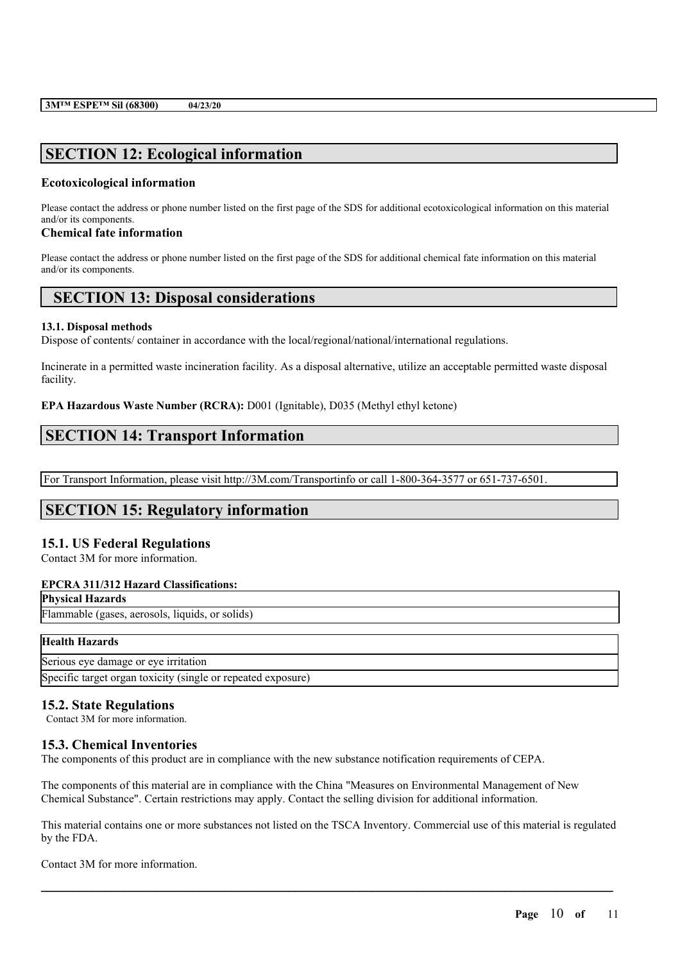# **SECTION 12: Ecological information**

## **Ecotoxicological information**

Please contact the address or phone number listed on the first page of the SDS for additional ecotoxicological information on this material and/or its components.

### **Chemical fate information**

Please contact the address or phone number listed on the first page of the SDS for additional chemical fate information on this material and/or its components.

# **SECTION 13: Disposal considerations**

### **13.1. Disposal methods**

Dispose of contents/ container in accordance with the local/regional/national/international regulations.

Incinerate in a permitted waste incineration facility. As a disposal alternative, utilize an acceptable permitted waste disposal facility.

**EPA Hazardous Waste Number (RCRA):** D001 (Ignitable), D035 (Methyl ethyl ketone)

# **SECTION 14: Transport Information**

For Transport Information, please visit http://3M.com/Transportinfo or call 1-800-364-3577 or 651-737-6501.

# **SECTION 15: Regulatory information**

## **15.1. US Federal Regulations**

Contact 3M for more information.

## **EPCRA 311/312 Hazard Classifications:**

# **Physical Hazards**

Flammable (gases, aerosols, liquids, or solids)

### **Health Hazards**

Serious eye damage or eye irritation Specific target organ toxicity (single or repeated exposure)

## **15.2. State Regulations**

Contact 3M for more information.

# **15.3. Chemical Inventories**

The components of this product are in compliance with the new substance notification requirements of CEPA.

The components of this material are in compliance with the China "Measures on Environmental Management of New Chemical Substance". Certain restrictions may apply. Contact the selling division for additional information.

This material contains one or more substances not listed on the TSCA Inventory. Commercial use of this material is regulated by the FDA.

 $\mathcal{L}_\mathcal{L} = \mathcal{L}_\mathcal{L} = \mathcal{L}_\mathcal{L} = \mathcal{L}_\mathcal{L} = \mathcal{L}_\mathcal{L} = \mathcal{L}_\mathcal{L} = \mathcal{L}_\mathcal{L} = \mathcal{L}_\mathcal{L} = \mathcal{L}_\mathcal{L} = \mathcal{L}_\mathcal{L} = \mathcal{L}_\mathcal{L} = \mathcal{L}_\mathcal{L} = \mathcal{L}_\mathcal{L} = \mathcal{L}_\mathcal{L} = \mathcal{L}_\mathcal{L} = \mathcal{L}_\mathcal{L} = \mathcal{L}_\mathcal{L}$ 

Contact 3M for more information.